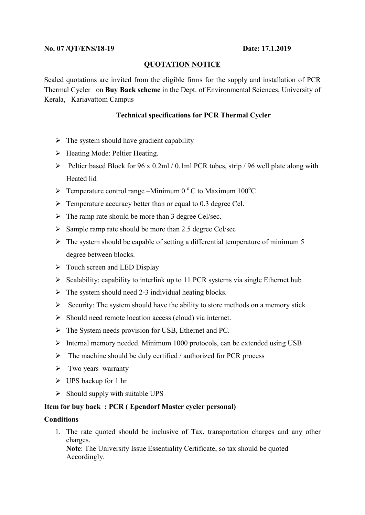# QUOTATION NOTICE

Sealed quotations are invited from the eligible firms for the supply and installation of PCR Thermal Cycler on Buy Back scheme in the Dept. of Environmental Sciences, University of Kerala, Kariavattom Campus

## Technical specifications for PCR Thermal Cycler

- $\triangleright$  The system should have gradient capability
- $\triangleright$  Heating Mode: Peltier Heating.
- $\triangleright$  Peltier based Block for 96 x 0.2ml / 0.1ml PCR tubes, strip / 96 well plate along with Heated lid
- $\triangleright$  Temperature control range –Minimum 0 °C to Maximum 100 °C
- $\triangleright$  Temperature accuracy better than or equal to 0.3 degree Cel.
- $\triangleright$  The ramp rate should be more than 3 degree Cel/sec.
- $\triangleright$  Sample ramp rate should be more than 2.5 degree Cel/sec
- $\triangleright$  The system should be capable of setting a differential temperature of minimum 5 degree between blocks.
- $\triangleright$  Touch screen and LED Display
- $\triangleright$  Scalability: capability to interlink up to 11 PCR systems via single Ethernet hub
- $\triangleright$  The system should need 2-3 individual heating blocks.
- $\triangleright$  Security: The system should have the ability to store methods on a memory stick
- $\triangleright$  Should need remote location access (cloud) via internet.
- $\triangleright$  The System needs provision for USB, Ethernet and PC.
- $\triangleright$  Internal memory needed. Minimum 1000 protocols, can be extended using USB
- $\triangleright$  The machine should be duly certified / authorized for PCR process
- $\triangleright$  Two years warranty
- $\triangleright$  UPS backup for 1 hr
- $\triangleright$  Should supply with suitable UPS

# Item for buy back : PCR ( Ependorf Master cycler personal)

# **Conditions**

1. The rate quoted should be inclusive of Tax, transportation charges and any other charges. Note: The University Issue Essentiality Certificate, so tax should be quoted Accordingly.